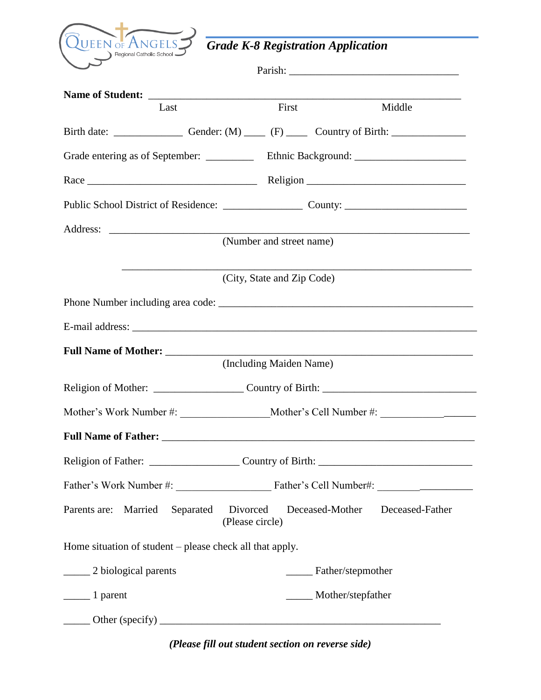

*Grade K-8 Registration Application*

| Last                                                     | First                      | Middle                                                                                    |  |  |
|----------------------------------------------------------|----------------------------|-------------------------------------------------------------------------------------------|--|--|
|                                                          |                            |                                                                                           |  |  |
|                                                          |                            | Grade entering as of September: _____________ Ethnic Background: ________________         |  |  |
|                                                          |                            |                                                                                           |  |  |
|                                                          |                            |                                                                                           |  |  |
|                                                          |                            | the control of the control of the control of the control of the control of the control of |  |  |
|                                                          | (Number and street name)   |                                                                                           |  |  |
|                                                          | (City, State and Zip Code) |                                                                                           |  |  |
|                                                          |                            |                                                                                           |  |  |
|                                                          |                            |                                                                                           |  |  |
|                                                          |                            |                                                                                           |  |  |
|                                                          | (Including Maiden Name)    |                                                                                           |  |  |
|                                                          |                            |                                                                                           |  |  |
|                                                          |                            | Mother's Work Number #: Mother's Cell Number #:                                           |  |  |
|                                                          |                            |                                                                                           |  |  |
|                                                          |                            |                                                                                           |  |  |
|                                                          |                            |                                                                                           |  |  |
| Parents are: Married<br>Separated Divorced               | (Please circle)            | Deceased-Mother Deceased-Father                                                           |  |  |
| Home situation of student – please check all that apply. |                            |                                                                                           |  |  |
| _______ 2 biological parents                             |                            | ________ Father/stepmother                                                                |  |  |
| $\frac{1}{2}$ parent                                     |                            | Mother/stepfather                                                                         |  |  |
|                                                          |                            |                                                                                           |  |  |

*(Please fill out student section on reverse side)*